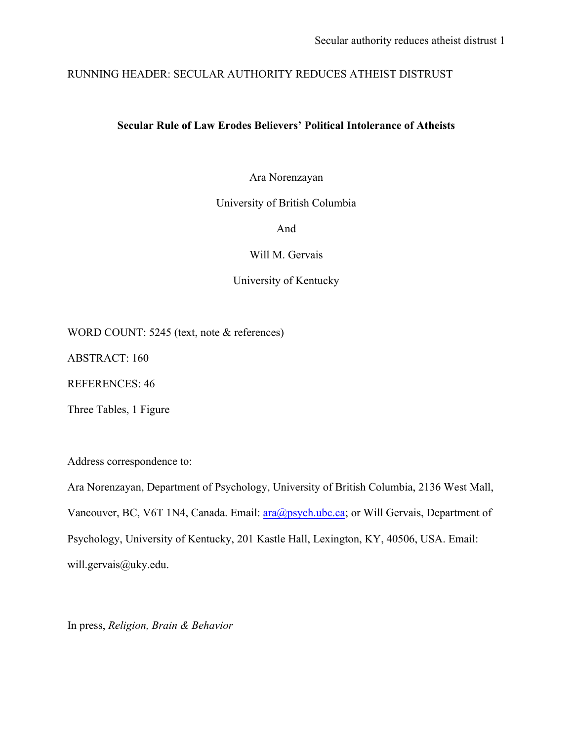# RUNNING HEADER: SECULAR AUTHORITY REDUCES ATHEIST DISTRUST

## **Secular Rule of Law Erodes Believers' Political Intolerance of Atheists**

Ara Norenzayan

University of British Columbia

And

Will M. Gervais

University of Kentucky

WORD COUNT: 5245 (text, note & references)

ABSTRACT: 160

REFERENCES: 46

Three Tables, 1 Figure

Address correspondence to:

Ara Norenzayan, Department of Psychology, University of British Columbia, 2136 West Mall, Vancouver, BC, V6T 1N4, Canada. Email: ara@psych.ubc.ca; or Will Gervais, Department of Psychology, University of Kentucky, 201 Kastle Hall, Lexington, KY, 40506, USA. Email: will.gervais@uky.edu.

In press, *Religion, Brain & Behavior*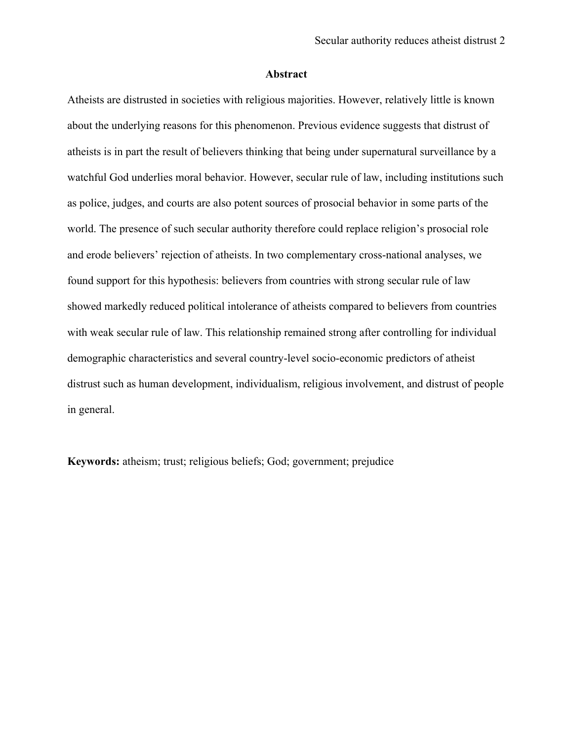## **Abstract**

Atheists are distrusted in societies with religious majorities. However, relatively little is known about the underlying reasons for this phenomenon. Previous evidence suggests that distrust of atheists is in part the result of believers thinking that being under supernatural surveillance by a watchful God underlies moral behavior. However, secular rule of law, including institutions such as police, judges, and courts are also potent sources of prosocial behavior in some parts of the world. The presence of such secular authority therefore could replace religion's prosocial role and erode believers' rejection of atheists. In two complementary cross-national analyses, we found support for this hypothesis: believers from countries with strong secular rule of law showed markedly reduced political intolerance of atheists compared to believers from countries with weak secular rule of law. This relationship remained strong after controlling for individual demographic characteristics and several country-level socio-economic predictors of atheist distrust such as human development, individualism, religious involvement, and distrust of people in general.

**Keywords:** atheism; trust; religious beliefs; God; government; prejudice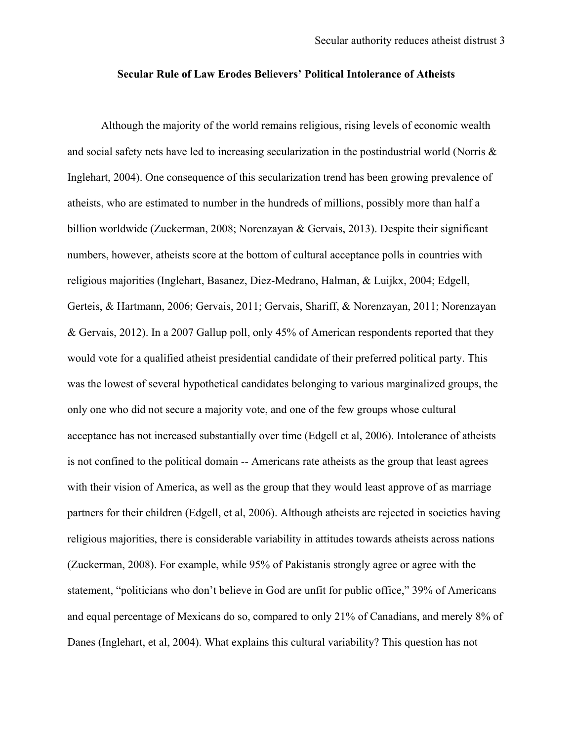## **Secular Rule of Law Erodes Believers' Political Intolerance of Atheists**

Although the majority of the world remains religious, rising levels of economic wealth and social safety nets have led to increasing secularization in the postindustrial world (Norris & Inglehart, 2004). One consequence of this secularization trend has been growing prevalence of atheists, who are estimated to number in the hundreds of millions, possibly more than half a billion worldwide (Zuckerman, 2008; Norenzayan & Gervais, 2013). Despite their significant numbers, however, atheists score at the bottom of cultural acceptance polls in countries with religious majorities (Inglehart, Basanez, Diez-Medrano, Halman, & Luijkx, 2004; Edgell, Gerteis, & Hartmann, 2006; Gervais, 2011; Gervais, Shariff, & Norenzayan, 2011; Norenzayan & Gervais, 2012). In a 2007 Gallup poll, only 45% of American respondents reported that they would vote for a qualified atheist presidential candidate of their preferred political party. This was the lowest of several hypothetical candidates belonging to various marginalized groups, the only one who did not secure a majority vote, and one of the few groups whose cultural acceptance has not increased substantially over time (Edgell et al, 2006). Intolerance of atheists is not confined to the political domain -- Americans rate atheists as the group that least agrees with their vision of America, as well as the group that they would least approve of as marriage partners for their children (Edgell, et al, 2006). Although atheists are rejected in societies having religious majorities, there is considerable variability in attitudes towards atheists across nations (Zuckerman, 2008). For example, while 95% of Pakistanis strongly agree or agree with the statement, "politicians who don't believe in God are unfit for public office," 39% of Americans and equal percentage of Mexicans do so, compared to only 21% of Canadians, and merely 8% of Danes (Inglehart, et al, 2004). What explains this cultural variability? This question has not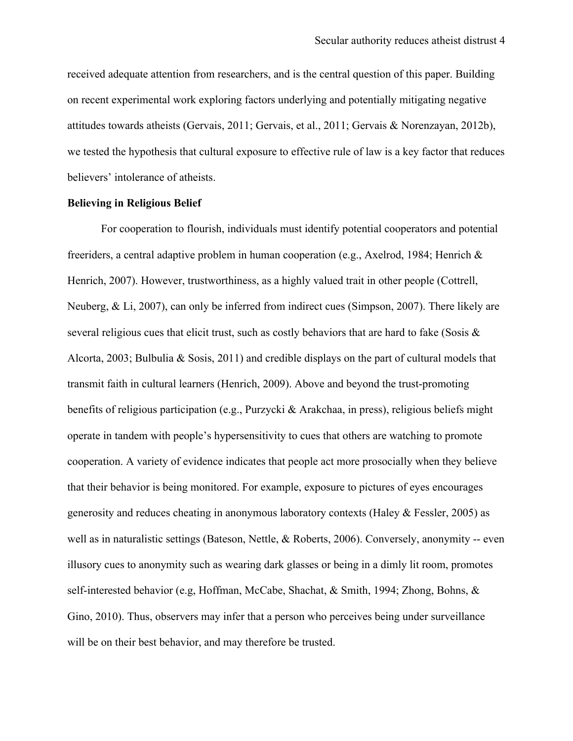received adequate attention from researchers, and is the central question of this paper. Building on recent experimental work exploring factors underlying and potentially mitigating negative attitudes towards atheists (Gervais, 2011; Gervais, et al., 2011; Gervais & Norenzayan, 2012b), we tested the hypothesis that cultural exposure to effective rule of law is a key factor that reduces believers' intolerance of atheists.

## **Believing in Religious Belief**

For cooperation to flourish, individuals must identify potential cooperators and potential freeriders, a central adaptive problem in human cooperation (e.g., Axelrod, 1984; Henrich & Henrich, 2007). However, trustworthiness, as a highly valued trait in other people (Cottrell, Neuberg, & Li, 2007), can only be inferred from indirect cues (Simpson, 2007). There likely are several religious cues that elicit trust, such as costly behaviors that are hard to fake (Sosis & Alcorta, 2003; Bulbulia & Sosis, 2011) and credible displays on the part of cultural models that transmit faith in cultural learners (Henrich, 2009). Above and beyond the trust-promoting benefits of religious participation (e.g., Purzycki & Arakchaa, in press), religious beliefs might operate in tandem with people's hypersensitivity to cues that others are watching to promote cooperation. A variety of evidence indicates that people act more prosocially when they believe that their behavior is being monitored. For example, exposure to pictures of eyes encourages generosity and reduces cheating in anonymous laboratory contexts (Haley & Fessler, 2005) as well as in naturalistic settings (Bateson, Nettle, & Roberts, 2006). Conversely, anonymity -- even illusory cues to anonymity such as wearing dark glasses or being in a dimly lit room, promotes self-interested behavior (e.g, Hoffman, McCabe, Shachat, & Smith, 1994; Zhong, Bohns, & Gino, 2010). Thus, observers may infer that a person who perceives being under surveillance will be on their best behavior, and may therefore be trusted.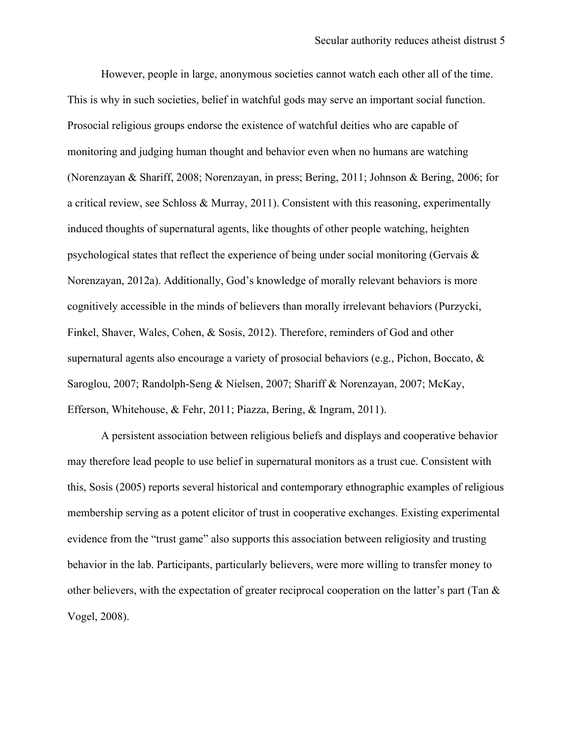However, people in large, anonymous societies cannot watch each other all of the time. This is why in such societies, belief in watchful gods may serve an important social function. Prosocial religious groups endorse the existence of watchful deities who are capable of monitoring and judging human thought and behavior even when no humans are watching (Norenzayan & Shariff, 2008; Norenzayan, in press; Bering, 2011; Johnson & Bering, 2006; for a critical review, see Schloss & Murray, 2011). Consistent with this reasoning, experimentally induced thoughts of supernatural agents, like thoughts of other people watching, heighten psychological states that reflect the experience of being under social monitoring (Gervais & Norenzayan, 2012a). Additionally, God's knowledge of morally relevant behaviors is more cognitively accessible in the minds of believers than morally irrelevant behaviors (Purzycki, Finkel, Shaver, Wales, Cohen, & Sosis, 2012). Therefore, reminders of God and other supernatural agents also encourage a variety of prosocial behaviors (e.g., Pichon, Boccato, & Saroglou, 2007; Randolph-Seng & Nielsen, 2007; Shariff & Norenzayan, 2007; McKay, Efferson, Whitehouse, & Fehr, 2011; Piazza, Bering, & Ingram, 2011).

A persistent association between religious beliefs and displays and cooperative behavior may therefore lead people to use belief in supernatural monitors as a trust cue. Consistent with this, Sosis (2005) reports several historical and contemporary ethnographic examples of religious membership serving as a potent elicitor of trust in cooperative exchanges. Existing experimental evidence from the "trust game" also supports this association between religiosity and trusting behavior in the lab. Participants, particularly believers, were more willing to transfer money to other believers, with the expectation of greater reciprocal cooperation on the latter's part (Tan  $\&$ Vogel, 2008).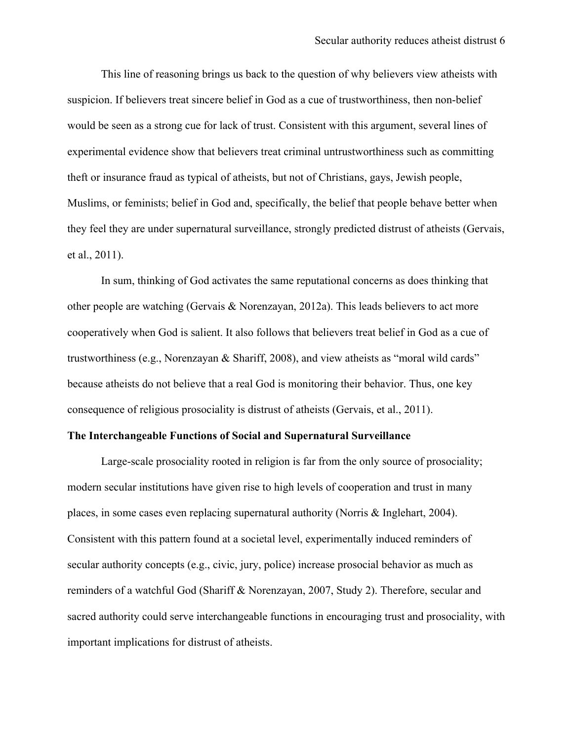This line of reasoning brings us back to the question of why believers view atheists with suspicion. If believers treat sincere belief in God as a cue of trustworthiness, then non-belief would be seen as a strong cue for lack of trust. Consistent with this argument, several lines of experimental evidence show that believers treat criminal untrustworthiness such as committing theft or insurance fraud as typical of atheists, but not of Christians, gays, Jewish people, Muslims, or feminists; belief in God and, specifically, the belief that people behave better when they feel they are under supernatural surveillance, strongly predicted distrust of atheists (Gervais, et al., 2011).

In sum, thinking of God activates the same reputational concerns as does thinking that other people are watching (Gervais & Norenzayan, 2012a). This leads believers to act more cooperatively when God is salient. It also follows that believers treat belief in God as a cue of trustworthiness (e.g., Norenzayan & Shariff, 2008), and view atheists as "moral wild cards" because atheists do not believe that a real God is monitoring their behavior. Thus, one key consequence of religious prosociality is distrust of atheists (Gervais, et al., 2011).

#### **The Interchangeable Functions of Social and Supernatural Surveillance**

Large-scale prosociality rooted in religion is far from the only source of prosociality; modern secular institutions have given rise to high levels of cooperation and trust in many places, in some cases even replacing supernatural authority (Norris & Inglehart, 2004). Consistent with this pattern found at a societal level, experimentally induced reminders of secular authority concepts (e.g., civic, jury, police) increase prosocial behavior as much as reminders of a watchful God (Shariff & Norenzayan, 2007, Study 2). Therefore, secular and sacred authority could serve interchangeable functions in encouraging trust and prosociality, with important implications for distrust of atheists.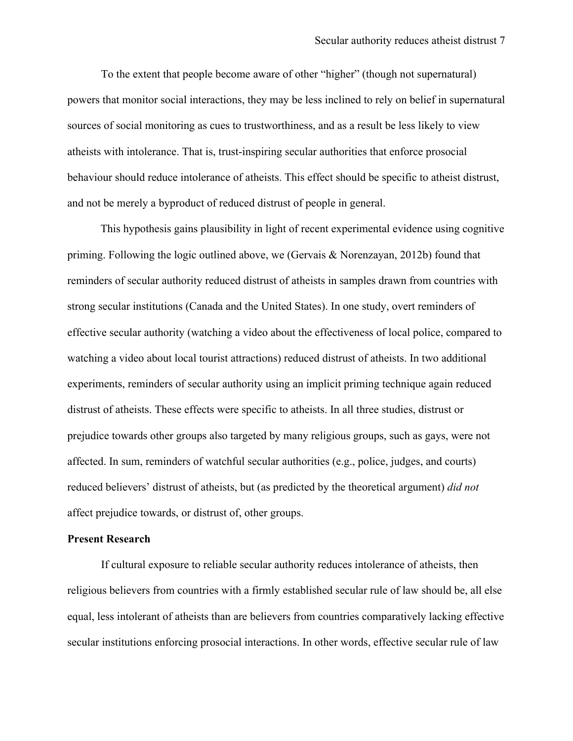To the extent that people become aware of other "higher" (though not supernatural) powers that monitor social interactions, they may be less inclined to rely on belief in supernatural sources of social monitoring as cues to trustworthiness, and as a result be less likely to view atheists with intolerance. That is, trust-inspiring secular authorities that enforce prosocial behaviour should reduce intolerance of atheists. This effect should be specific to atheist distrust, and not be merely a byproduct of reduced distrust of people in general.

This hypothesis gains plausibility in light of recent experimental evidence using cognitive priming. Following the logic outlined above, we (Gervais & Norenzayan, 2012b) found that reminders of secular authority reduced distrust of atheists in samples drawn from countries with strong secular institutions (Canada and the United States). In one study, overt reminders of effective secular authority (watching a video about the effectiveness of local police, compared to watching a video about local tourist attractions) reduced distrust of atheists. In two additional experiments, reminders of secular authority using an implicit priming technique again reduced distrust of atheists. These effects were specific to atheists. In all three studies, distrust or prejudice towards other groups also targeted by many religious groups, such as gays, were not affected. In sum, reminders of watchful secular authorities (e.g., police, judges, and courts) reduced believers' distrust of atheists, but (as predicted by the theoretical argument) *did not* affect prejudice towards, or distrust of, other groups.

#### **Present Research**

If cultural exposure to reliable secular authority reduces intolerance of atheists, then religious believers from countries with a firmly established secular rule of law should be, all else equal, less intolerant of atheists than are believers from countries comparatively lacking effective secular institutions enforcing prosocial interactions. In other words, effective secular rule of law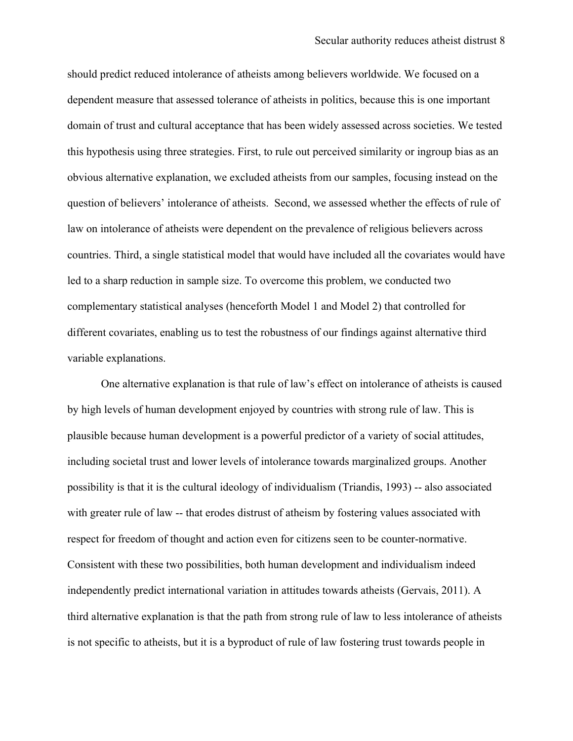should predict reduced intolerance of atheists among believers worldwide. We focused on a dependent measure that assessed tolerance of atheists in politics, because this is one important domain of trust and cultural acceptance that has been widely assessed across societies. We tested this hypothesis using three strategies. First, to rule out perceived similarity or ingroup bias as an obvious alternative explanation, we excluded atheists from our samples, focusing instead on the question of believers' intolerance of atheists. Second, we assessed whether the effects of rule of law on intolerance of atheists were dependent on the prevalence of religious believers across countries. Third, a single statistical model that would have included all the covariates would have led to a sharp reduction in sample size. To overcome this problem, we conducted two complementary statistical analyses (henceforth Model 1 and Model 2) that controlled for different covariates, enabling us to test the robustness of our findings against alternative third variable explanations.

One alternative explanation is that rule of law's effect on intolerance of atheists is caused by high levels of human development enjoyed by countries with strong rule of law. This is plausible because human development is a powerful predictor of a variety of social attitudes, including societal trust and lower levels of intolerance towards marginalized groups. Another possibility is that it is the cultural ideology of individualism (Triandis, 1993) -- also associated with greater rule of law -- that erodes distrust of atheism by fostering values associated with respect for freedom of thought and action even for citizens seen to be counter-normative. Consistent with these two possibilities, both human development and individualism indeed independently predict international variation in attitudes towards atheists (Gervais, 2011). A third alternative explanation is that the path from strong rule of law to less intolerance of atheists is not specific to atheists, but it is a byproduct of rule of law fostering trust towards people in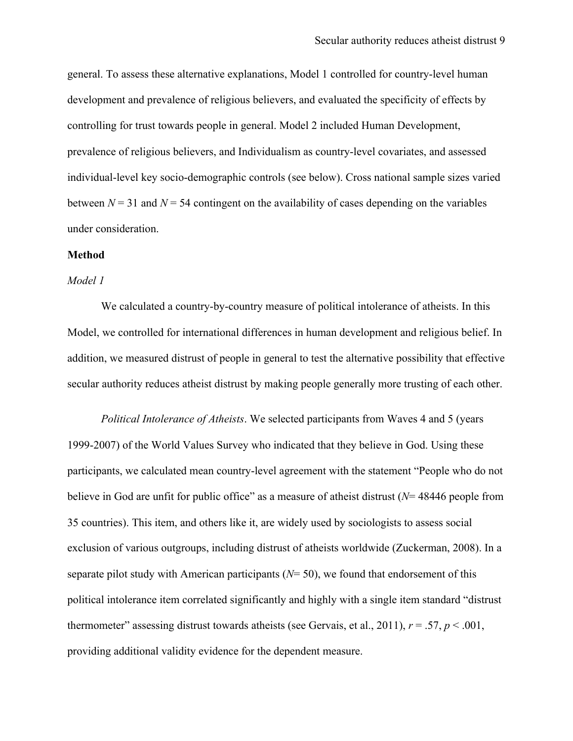general. To assess these alternative explanations, Model 1 controlled for country-level human development and prevalence of religious believers, and evaluated the specificity of effects by controlling for trust towards people in general. Model 2 included Human Development, prevalence of religious believers, and Individualism as country-level covariates, and assessed individual-level key socio-demographic controls (see below). Cross national sample sizes varied between  $N = 31$  and  $N = 54$  contingent on the availability of cases depending on the variables under consideration.

#### **Method**

#### *Model 1*

We calculated a country-by-country measure of political intolerance of atheists. In this Model, we controlled for international differences in human development and religious belief. In addition, we measured distrust of people in general to test the alternative possibility that effective secular authority reduces atheist distrust by making people generally more trusting of each other.

*Political Intolerance of Atheists*. We selected participants from Waves 4 and 5 (years 1999-2007) of the World Values Survey who indicated that they believe in God. Using these participants, we calculated mean country-level agreement with the statement "People who do not believe in God are unfit for public office" as a measure of atheist distrust (*N*= 48446 people from 35 countries). This item, and others like it, are widely used by sociologists to assess social exclusion of various outgroups, including distrust of atheists worldwide (Zuckerman, 2008). In a separate pilot study with American participants (*N*= 50), we found that endorsement of this political intolerance item correlated significantly and highly with a single item standard "distrust thermometer" assessing distrust towards atheists (see Gervais, et al., 2011),  $r = .57$ ,  $p < .001$ , providing additional validity evidence for the dependent measure.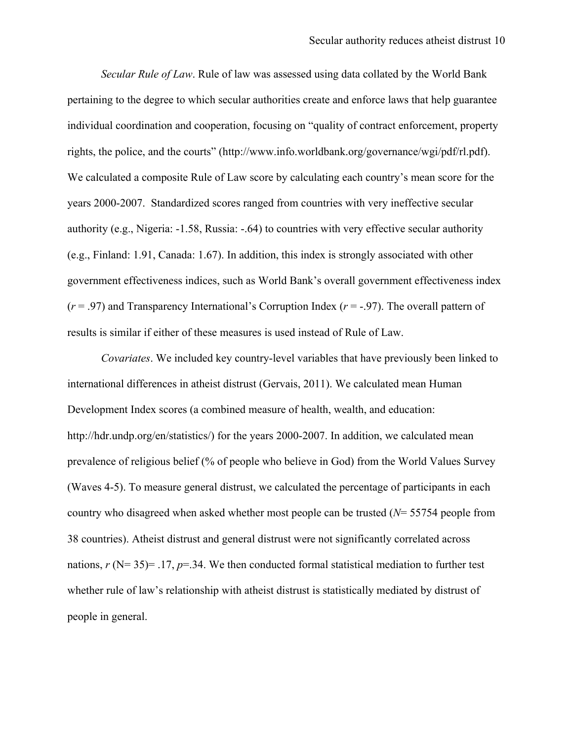*Secular Rule of Law*. Rule of law was assessed using data collated by the World Bank pertaining to the degree to which secular authorities create and enforce laws that help guarantee individual coordination and cooperation, focusing on "quality of contract enforcement, property rights, the police, and the courts" (http://www.info.worldbank.org/governance/wgi/pdf/rl.pdf). We calculated a composite Rule of Law score by calculating each country's mean score for the years 2000-2007. Standardized scores ranged from countries with very ineffective secular authority (e.g., Nigeria: -1.58, Russia: -.64) to countries with very effective secular authority (e.g., Finland: 1.91, Canada: 1.67). In addition, this index is strongly associated with other government effectiveness indices, such as World Bank's overall government effectiveness index (*r* = .97) and Transparency International's Corruption Index (*r* = -.97). The overall pattern of results is similar if either of these measures is used instead of Rule of Law.

*Covariates*. We included key country-level variables that have previously been linked to international differences in atheist distrust (Gervais, 2011). We calculated mean Human Development Index scores (a combined measure of health, wealth, and education: http://hdr.undp.org/en/statistics/) for the years 2000-2007. In addition, we calculated mean prevalence of religious belief (% of people who believe in God) from the World Values Survey (Waves 4-5). To measure general distrust, we calculated the percentage of participants in each country who disagreed when asked whether most people can be trusted (*N*= 55754 people from 38 countries). Atheist distrust and general distrust were not significantly correlated across nations,  $r$  (N= 35)= .17,  $p$ =.34. We then conducted formal statistical mediation to further test whether rule of law's relationship with atheist distrust is statistically mediated by distrust of people in general.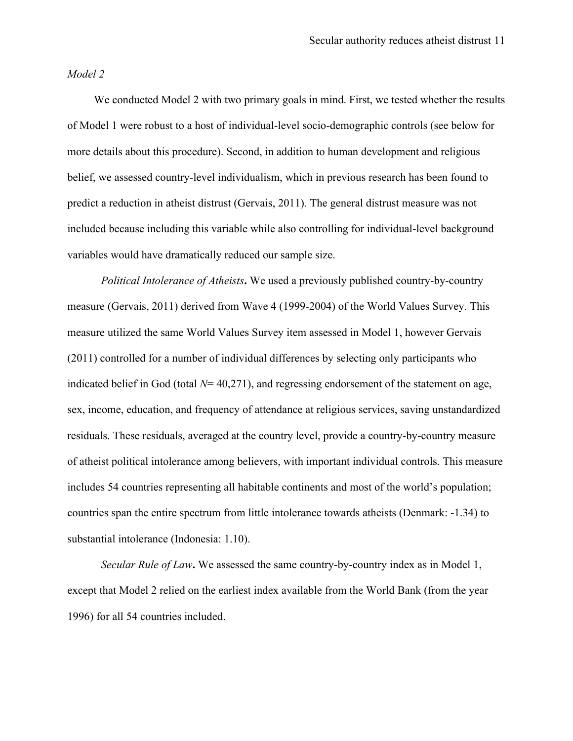#### *Model 2*

We conducted Model 2 with two primary goals in mind. First, we tested whether the results of Model 1 were robust to a host of individual-level socio-demographic controls (see below for more details about this procedure). Second, in addition to human development and religious belief, we assessed country-level individualism, which in previous research has been found to predict a reduction in atheist distrust (Gervais, 2011). The general distrust measure was not included because including this variable while also controlling for individual-level background variables would have dramatically reduced our sample size.

*Political Intolerance of Atheists***.** We used a previously published country-by-country measure (Gervais, 2011) derived from Wave 4 (1999-2004) of the World Values Survey. This measure utilized the same World Values Survey item assessed in Model 1, however Gervais (2011) controlled for a number of individual differences by selecting only participants who indicated belief in God (total *N*= 40,271), and regressing endorsement of the statement on age, sex, income, education, and frequency of attendance at religious services, saving unstandardized residuals. These residuals, averaged at the country level, provide a country-by-country measure of atheist political intolerance among believers, with important individual controls. This measure includes 54 countries representing all habitable continents and most of the world's population; countries span the entire spectrum from little intolerance towards atheists (Denmark: -1.34) to substantial intolerance (Indonesia: 1.10).

*Secular Rule of Law***.** We assessed the same country-by-country index as in Model 1, except that Model 2 relied on the earliest index available from the World Bank (from the year 1996) for all 54 countries included.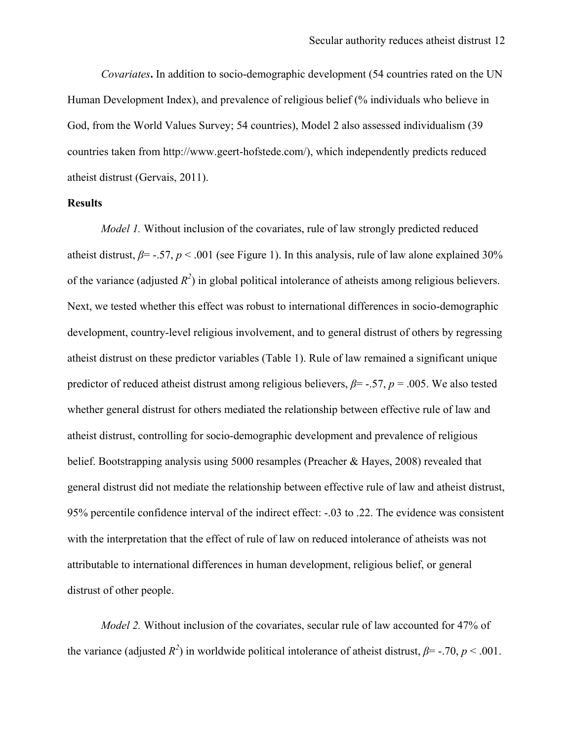*Covariates***.** In addition to socio-demographic development (54 countries rated on the UN Human Development Index), and prevalence of religious belief (% individuals who believe in God, from the World Values Survey; 54 countries), Model 2 also assessed individualism (39 countries taken from http://www.geert-hofstede.com/), which independently predicts reduced atheist distrust (Gervais, 2011).

### **Results**

*Model 1*. Without inclusion of the covariates, rule of law strongly predicted reduced atheist distrust,  $\beta$ = -.57,  $p$  < .001 (see Figure 1). In this analysis, rule of law alone explained 30% of the variance (adjusted  $R^2$ ) in global political intolerance of atheists among religious believers. Next, we tested whether this effect was robust to international differences in socio-demographic development, country-level religious involvement, and to general distrust of others by regressing atheist distrust on these predictor variables (Table 1). Rule of law remained a significant unique predictor of reduced atheist distrust among religious believers, *β*= -.57, *p* = .005. We also tested whether general distrust for others mediated the relationship between effective rule of law and atheist distrust, controlling for socio-demographic development and prevalence of religious belief. Bootstrapping analysis using 5000 resamples (Preacher & Hayes, 2008) revealed that general distrust did not mediate the relationship between effective rule of law and atheist distrust, 95% percentile confidence interval of the indirect effect: -.03 to .22. The evidence was consistent with the interpretation that the effect of rule of law on reduced intolerance of atheists was not attributable to international differences in human development, religious belief, or general distrust of other people.

*Model 2.* Without inclusion of the covariates, secular rule of law accounted for 47% of the variance (adjusted  $R^2$ ) in worldwide political intolerance of atheist distrust,  $\beta$ = -.70, *p* < .001.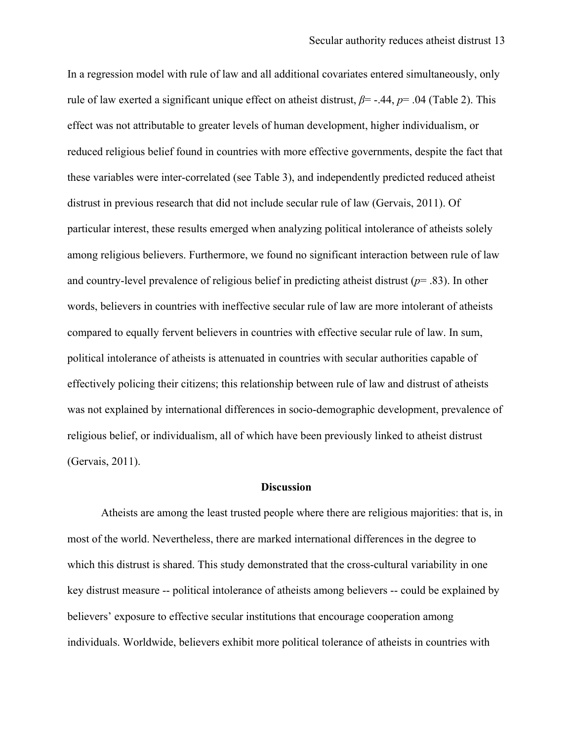In a regression model with rule of law and all additional covariates entered simultaneously, only rule of law exerted a significant unique effect on atheist distrust, *β*= -.44, *p*= .04 (Table 2). This effect was not attributable to greater levels of human development, higher individualism, or reduced religious belief found in countries with more effective governments, despite the fact that these variables were inter-correlated (see Table 3), and independently predicted reduced atheist distrust in previous research that did not include secular rule of law (Gervais, 2011). Of particular interest, these results emerged when analyzing political intolerance of atheists solely among religious believers. Furthermore, we found no significant interaction between rule of law and country-level prevalence of religious belief in predicting atheist distrust (*p*= .83). In other words, believers in countries with ineffective secular rule of law are more intolerant of atheists compared to equally fervent believers in countries with effective secular rule of law. In sum, political intolerance of atheists is attenuated in countries with secular authorities capable of effectively policing their citizens; this relationship between rule of law and distrust of atheists was not explained by international differences in socio-demographic development, prevalence of religious belief, or individualism, all of which have been previously linked to atheist distrust (Gervais, 2011).

#### **Discussion**

Atheists are among the least trusted people where there are religious majorities: that is, in most of the world. Nevertheless, there are marked international differences in the degree to which this distrust is shared. This study demonstrated that the cross-cultural variability in one key distrust measure -- political intolerance of atheists among believers -- could be explained by believers' exposure to effective secular institutions that encourage cooperation among individuals. Worldwide, believers exhibit more political tolerance of atheists in countries with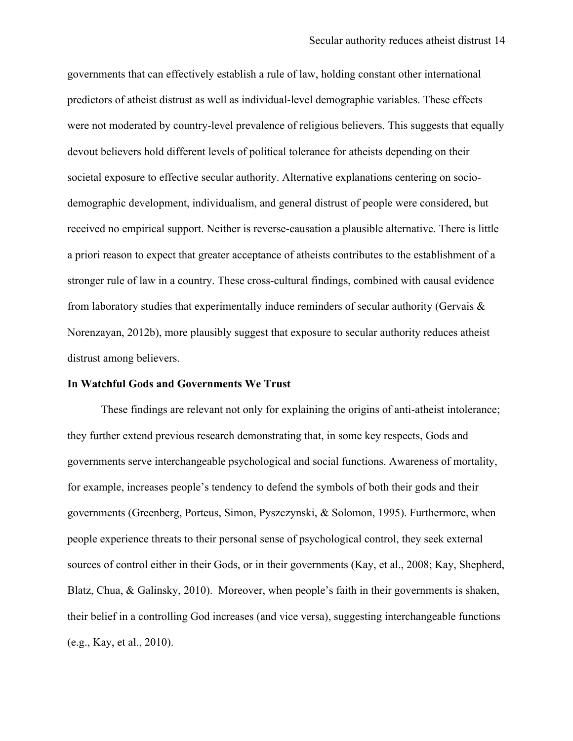governments that can effectively establish a rule of law, holding constant other international predictors of atheist distrust as well as individual-level demographic variables. These effects were not moderated by country-level prevalence of religious believers. This suggests that equally devout believers hold different levels of political tolerance for atheists depending on their societal exposure to effective secular authority. Alternative explanations centering on sociodemographic development, individualism, and general distrust of people were considered, but received no empirical support. Neither is reverse-causation a plausible alternative. There is little a priori reason to expect that greater acceptance of atheists contributes to the establishment of a stronger rule of law in a country. These cross-cultural findings, combined with causal evidence from laboratory studies that experimentally induce reminders of secular authority (Gervais  $\&$ Norenzayan, 2012b), more plausibly suggest that exposure to secular authority reduces atheist distrust among believers.

#### **In Watchful Gods and Governments We Trust**

These findings are relevant not only for explaining the origins of anti-atheist intolerance; they further extend previous research demonstrating that, in some key respects, Gods and governments serve interchangeable psychological and social functions. Awareness of mortality, for example, increases people's tendency to defend the symbols of both their gods and their governments (Greenberg, Porteus, Simon, Pyszczynski, & Solomon, 1995). Furthermore, when people experience threats to their personal sense of psychological control, they seek external sources of control either in their Gods, or in their governments (Kay, et al., 2008; Kay, Shepherd, Blatz, Chua, & Galinsky, 2010). Moreover, when people's faith in their governments is shaken, their belief in a controlling God increases (and vice versa), suggesting interchangeable functions (e.g., Kay, et al., 2010).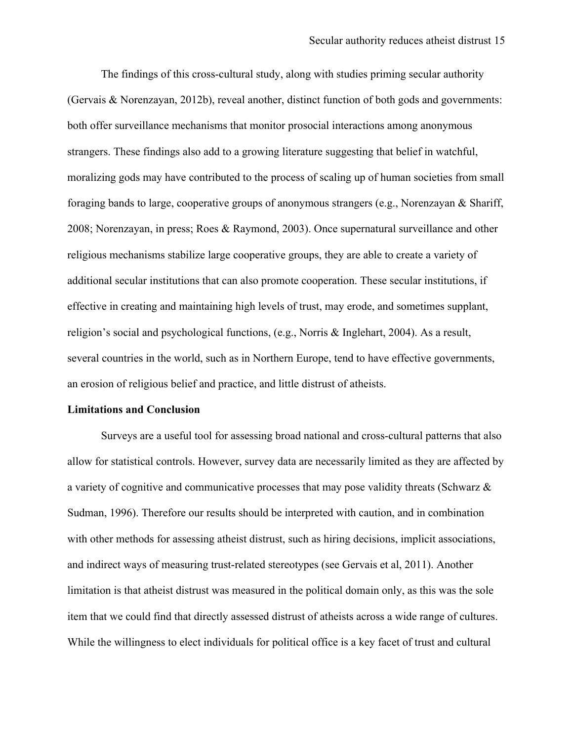The findings of this cross-cultural study, along with studies priming secular authority (Gervais & Norenzayan, 2012b), reveal another, distinct function of both gods and governments: both offer surveillance mechanisms that monitor prosocial interactions among anonymous strangers. These findings also add to a growing literature suggesting that belief in watchful, moralizing gods may have contributed to the process of scaling up of human societies from small foraging bands to large, cooperative groups of anonymous strangers (e.g., Norenzayan & Shariff, 2008; Norenzayan, in press; Roes & Raymond, 2003). Once supernatural surveillance and other religious mechanisms stabilize large cooperative groups, they are able to create a variety of additional secular institutions that can also promote cooperation. These secular institutions, if effective in creating and maintaining high levels of trust, may erode, and sometimes supplant, religion's social and psychological functions, (e.g., Norris & Inglehart, 2004). As a result, several countries in the world, such as in Northern Europe, tend to have effective governments, an erosion of religious belief and practice, and little distrust of atheists.

#### **Limitations and Conclusion**

Surveys are a useful tool for assessing broad national and cross-cultural patterns that also allow for statistical controls. However, survey data are necessarily limited as they are affected by a variety of cognitive and communicative processes that may pose validity threats (Schwarz & Sudman, 1996). Therefore our results should be interpreted with caution, and in combination with other methods for assessing atheist distrust, such as hiring decisions, implicit associations, and indirect ways of measuring trust-related stereotypes (see Gervais et al, 2011). Another limitation is that atheist distrust was measured in the political domain only, as this was the sole item that we could find that directly assessed distrust of atheists across a wide range of cultures. While the willingness to elect individuals for political office is a key facet of trust and cultural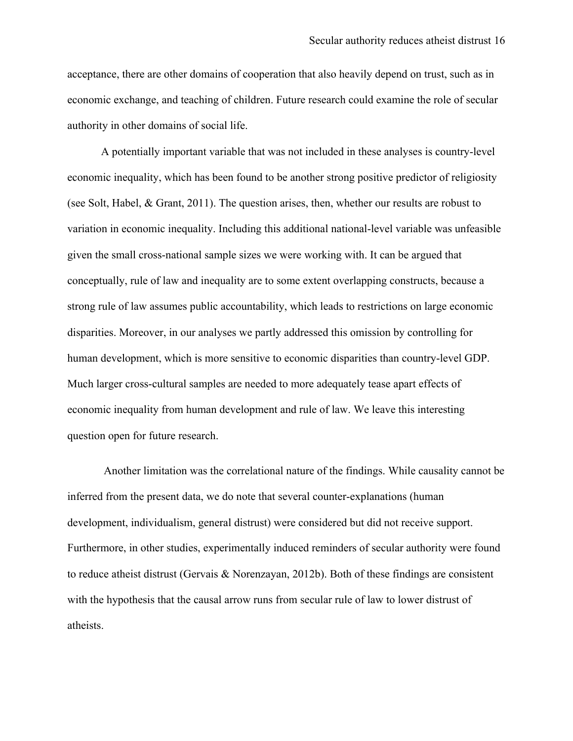acceptance, there are other domains of cooperation that also heavily depend on trust, such as in economic exchange, and teaching of children. Future research could examine the role of secular authority in other domains of social life.

A potentially important variable that was not included in these analyses is country-level economic inequality, which has been found to be another strong positive predictor of religiosity (see Solt, Habel, & Grant, 2011). The question arises, then, whether our results are robust to variation in economic inequality. Including this additional national-level variable was unfeasible given the small cross-national sample sizes we were working with. It can be argued that conceptually, rule of law and inequality are to some extent overlapping constructs, because a strong rule of law assumes public accountability, which leads to restrictions on large economic disparities. Moreover, in our analyses we partly addressed this omission by controlling for human development, which is more sensitive to economic disparities than country-level GDP. Much larger cross-cultural samples are needed to more adequately tease apart effects of economic inequality from human development and rule of law. We leave this interesting question open for future research.

Another limitation was the correlational nature of the findings. While causality cannot be inferred from the present data, we do note that several counter-explanations (human development, individualism, general distrust) were considered but did not receive support. Furthermore, in other studies, experimentally induced reminders of secular authority were found to reduce atheist distrust (Gervais & Norenzayan, 2012b). Both of these findings are consistent with the hypothesis that the causal arrow runs from secular rule of law to lower distrust of atheists.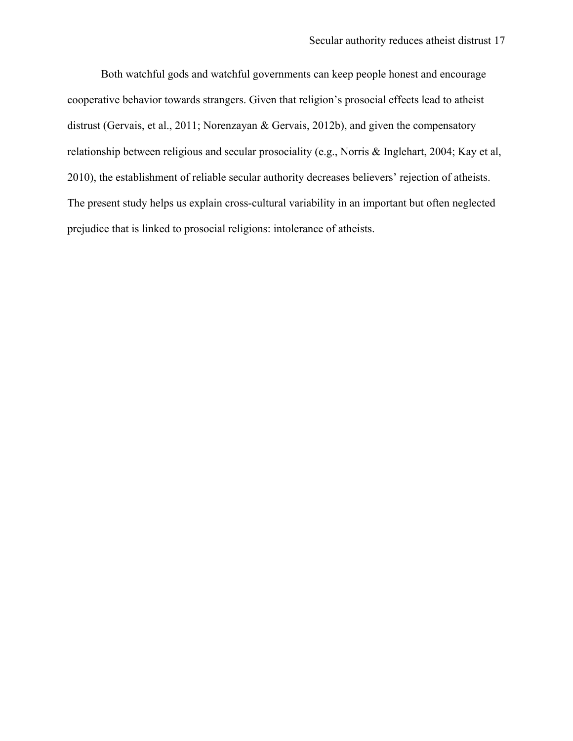Both watchful gods and watchful governments can keep people honest and encourage cooperative behavior towards strangers. Given that religion's prosocial effects lead to atheist distrust (Gervais, et al., 2011; Norenzayan & Gervais, 2012b), and given the compensatory relationship between religious and secular prosociality (e.g., Norris & Inglehart, 2004; Kay et al, 2010), the establishment of reliable secular authority decreases believers' rejection of atheists. The present study helps us explain cross-cultural variability in an important but often neglected prejudice that is linked to prosocial religions: intolerance of atheists.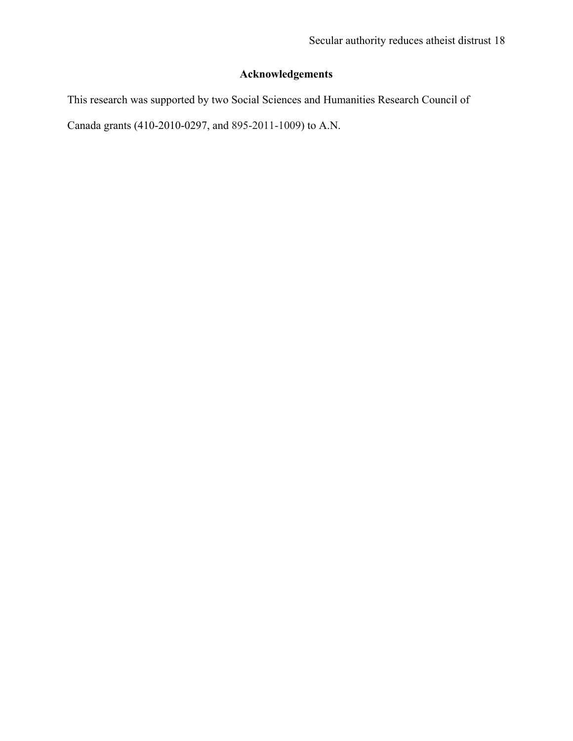# **Acknowledgements**

This research was supported by two Social Sciences and Humanities Research Council of

Canada grants (410-2010-0297, and 895-2011-1009) to A.N.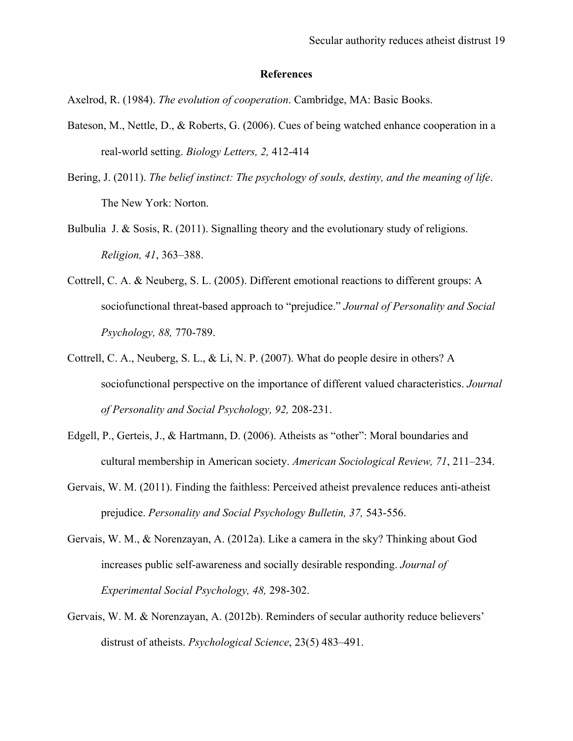#### **References**

Axelrod, R. (1984). *The evolution of cooperation*. Cambridge, MA: Basic Books.

- Bateson, M., Nettle, D., & Roberts, G. (2006). Cues of being watched enhance cooperation in a real-world setting. *Biology Letters, 2,* 412-414
- Bering, J. (2011). *The belief instinct: The psychology of souls, destiny, and the meaning of life*. The New York: Norton.
- Bulbulia J. & Sosis, R. (2011). Signalling theory and the evolutionary study of religions. *Religion, 41*, 363–388.
- Cottrell, C. A. & Neuberg, S. L. (2005). Different emotional reactions to different groups: A sociofunctional threat-based approach to "prejudice." *Journal of Personality and Social Psychology, 88,* 770-789.
- Cottrell, C. A., Neuberg, S. L., & Li, N. P. (2007). What do people desire in others? A sociofunctional perspective on the importance of different valued characteristics. *Journal of Personality and Social Psychology, 92,* 208-231.
- Edgell, P., Gerteis, J., & Hartmann, D. (2006). Atheists as "other": Moral boundaries and cultural membership in American society. *American Sociological Review, 71*, 211–234.
- Gervais, W. M. (2011). Finding the faithless: Perceived atheist prevalence reduces anti-atheist prejudice. *Personality and Social Psychology Bulletin, 37,* 543-556.
- Gervais, W. M., & Norenzayan, A. (2012a). Like a camera in the sky? Thinking about God increases public self-awareness and socially desirable responding. *Journal of Experimental Social Psychology, 48,* 298-302.
- Gervais, W. M. & Norenzayan, A. (2012b). Reminders of secular authority reduce believers' distrust of atheists. *Psychological Science*, 23(5) 483–491.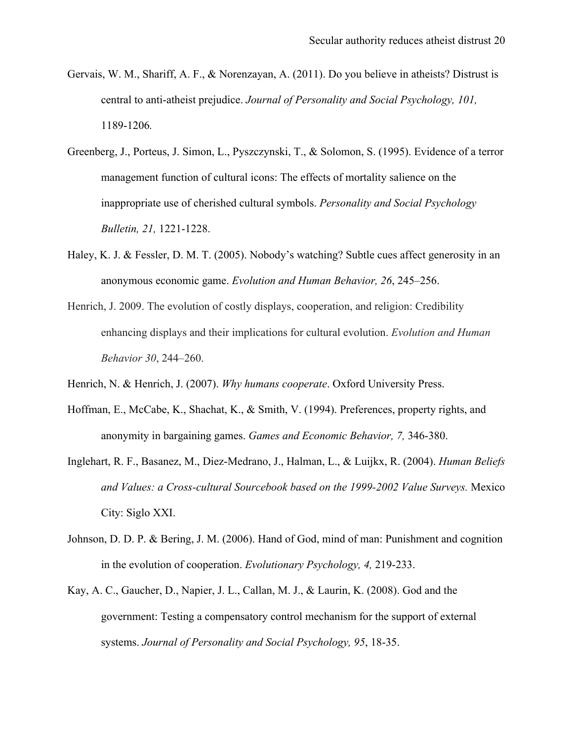- Gervais, W. M., Shariff, A. F., & Norenzayan, A. (2011). Do you believe in atheists? Distrust is central to anti-atheist prejudice. *Journal of Personality and Social Psychology, 101,*  1189-1206*.*
- Greenberg, J., Porteus, J. Simon, L., Pyszczynski, T., & Solomon, S. (1995). Evidence of a terror management function of cultural icons: The effects of mortality salience on the inappropriate use of cherished cultural symbols. *Personality and Social Psychology Bulletin, 21,* 1221-1228.
- Haley, K. J. & Fessler, D. M. T. (2005). Nobody's watching? Subtle cues affect generosity in an anonymous economic game. *Evolution and Human Behavior, 26*, 245–256.
- Henrich, J. 2009. The evolution of costly displays, cooperation, and religion: Credibility enhancing displays and their implications for cultural evolution. *Evolution and Human Behavior 30*, 244–260.
- Henrich, N. & Henrich, J. (2007). *Why humans cooperate*. Oxford University Press.
- Hoffman, E., McCabe, K., Shachat, K., & Smith, V. (1994). Preferences, property rights, and anonymity in bargaining games. *Games and Economic Behavior, 7,* 346-380.
- Inglehart, R. F., Basanez, M., Diez-Medrano, J., Halman, L., & Luijkx, R. (2004). *Human Beliefs and Values: a Cross-cultural Sourcebook based on the 1999-2002 Value Surveys.* Mexico City: Siglo XXI.
- Johnson, D. D. P. & Bering, J. M. (2006). Hand of God, mind of man: Punishment and cognition in the evolution of cooperation. *Evolutionary Psychology, 4,* 219-233.
- Kay, A. C., Gaucher, D., Napier, J. L., Callan, M. J., & Laurin, K. (2008). God and the government: Testing a compensatory control mechanism for the support of external systems. *Journal of Personality and Social Psychology, 95*, 18-35.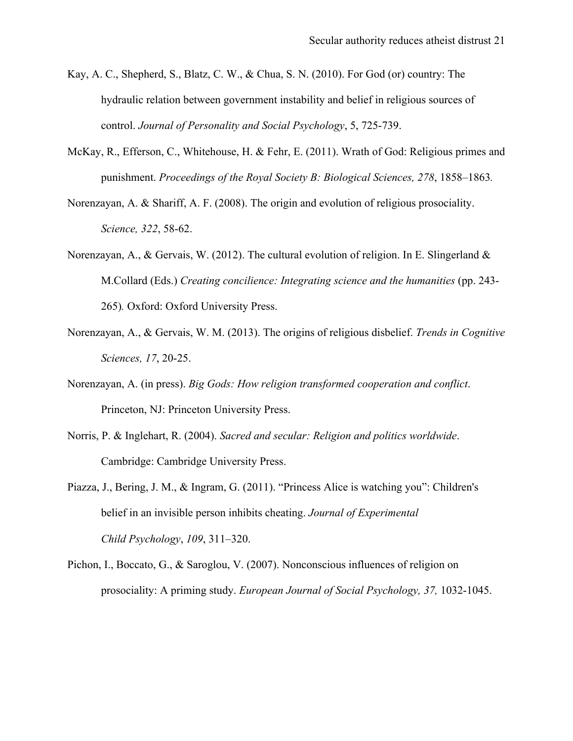- Kay, A. C., Shepherd, S., Blatz, C. W., & Chua, S. N. (2010). For God (or) country: The hydraulic relation between government instability and belief in religious sources of control. *Journal of Personality and Social Psychology*, 5, 725-739.
- McKay, R., Efferson, C., Whitehouse, H. & Fehr, E. (2011). Wrath of God: Religious primes and punishment. *Proceedings of the Royal Society B: Biological Sciences, 278*, 1858–1863*.*
- Norenzayan, A. & Shariff, A. F. (2008). The origin and evolution of religious prosociality. *Science, 322*, 58-62.
- Norenzayan, A., & Gervais, W. (2012). The cultural evolution of religion. In E. Slingerland  $\&$ M.Collard (Eds.) *Creating concilience: Integrating science and the humanities* (pp. 243- 265)*.* Oxford: Oxford University Press.
- Norenzayan, A., & Gervais, W. M. (2013). The origins of religious disbelief. *Trends in Cognitive Sciences, 17*, 20-25.
- Norenzayan, A. (in press). *Big Gods: How religion transformed cooperation and conflict*. Princeton, NJ: Princeton University Press.
- Norris, P. & Inglehart, R. (2004). *Sacred and secular: Religion and politics worldwide*. Cambridge: Cambridge University Press.
- Piazza, J., Bering, J. M., & Ingram, G. (2011). "Princess Alice is watching you": Children's belief in an invisible person inhibits cheating. *Journal of Experimental Child Psychology*, *109*, 311–320.
- Pichon, I., Boccato, G., & Saroglou, V. (2007). Nonconscious influences of religion on prosociality: A priming study. *European Journal of Social Psychology, 37,* 1032-1045.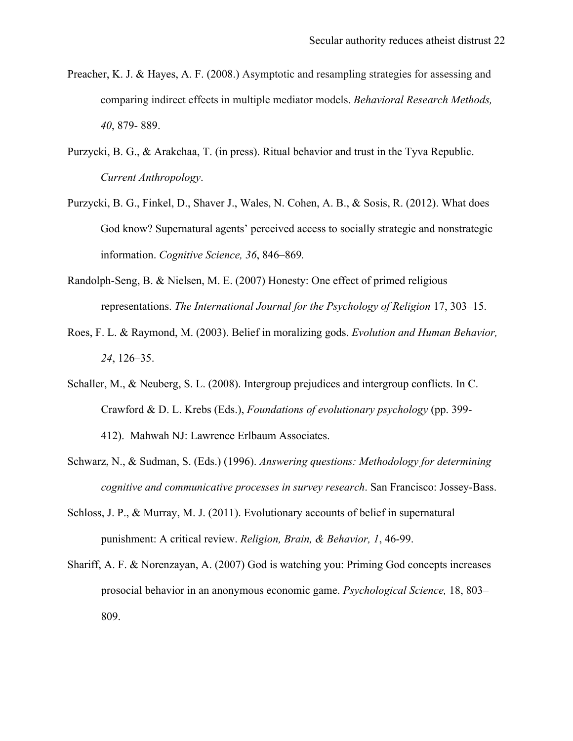- Preacher, K. J. & Hayes, A. F. (2008.) Asymptotic and resampling strategies for assessing and comparing indirect effects in multiple mediator models. *Behavioral Research Methods, 40*, 879- 889.
- Purzycki, B. G., & Arakchaa, T. (in press). Ritual behavior and trust in the Tyva Republic. *Current Anthropology*.
- Purzycki, B. G., Finkel, D., Shaver J., Wales, N. Cohen, A. B., & Sosis, R. (2012). What does God know? Supernatural agents' perceived access to socially strategic and nonstrategic information. *Cognitive Science, 36*, 846–869*.*
- Randolph-Seng, B. & Nielsen, M. E. (2007) Honesty: One effect of primed religious representations. *The International Journal for the Psychology of Religion* 17, 303–15.
- Roes, F. L. & Raymond, M. (2003). Belief in moralizing gods. *Evolution and Human Behavior, 24*, 126–35.
- Schaller, M., & Neuberg, S. L. (2008). Intergroup prejudices and intergroup conflicts. In C. Crawford & D. L. Krebs (Eds.), *Foundations of evolutionary psychology* (pp. 399- 412). Mahwah NJ: Lawrence Erlbaum Associates.
- Schwarz, N., & Sudman, S. (Eds.) (1996). *Answering questions: Methodology for determining cognitive and communicative processes in survey research*. San Francisco: Jossey-Bass.
- Schloss, J. P., & Murray, M. J. (2011). Evolutionary accounts of belief in supernatural punishment: A critical review. *Religion, Brain, & Behavior, 1*, 46-99.
- Shariff, A. F. & Norenzayan, A. (2007) God is watching you: Priming God concepts increases prosocial behavior in an anonymous economic game. *Psychological Science,* 18, 803– 809.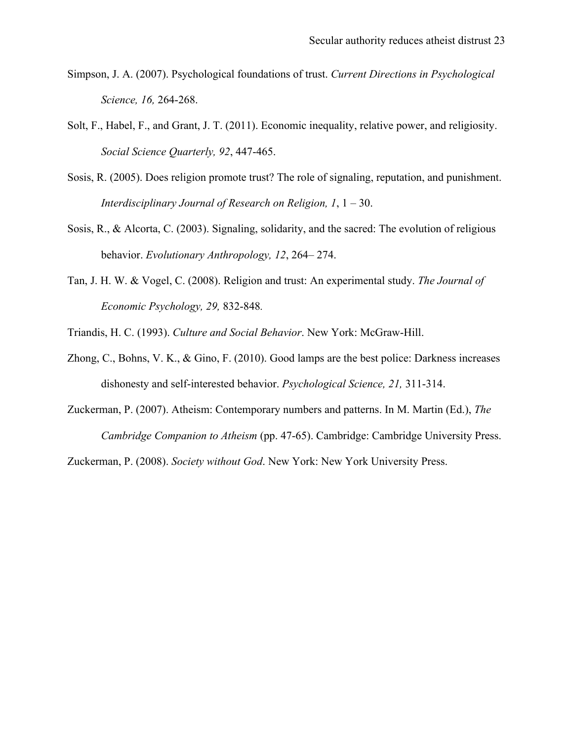- Simpson, J. A. (2007). Psychological foundations of trust. *Current Directions in Psychological Science, 16,* 264-268.
- Solt, F., Habel, F., and Grant, J. T. (2011). Economic inequality, relative power, and religiosity. *Social Science Quarterly, 92*, 447-465.
- Sosis, R. (2005). Does religion promote trust? The role of signaling, reputation, and punishment. *Interdisciplinary Journal of Research on Religion, 1*, 1 – 30.
- Sosis, R., & Alcorta, C. (2003). Signaling, solidarity, and the sacred: The evolution of religious behavior. *Evolutionary Anthropology, 12*, 264– 274.
- Tan, J. H. W. & Vogel, C. (2008). Religion and trust: An experimental study. *The Journal of Economic Psychology, 29,* 832-848*.*
- Triandis, H. C. (1993). *Culture and Social Behavior*. New York: McGraw-Hill.
- Zhong, C., Bohns, V. K., & Gino, F. (2010). Good lamps are the best police: Darkness increases dishonesty and self-interested behavior. *Psychological Science, 21,* 311-314.
- Zuckerman, P. (2007). Atheism: Contemporary numbers and patterns. In M. Martin (Ed.), *The Cambridge Companion to Atheism* (pp. 47-65). Cambridge: Cambridge University Press.

Zuckerman, P. (2008). *Society without God*. New York: New York University Press.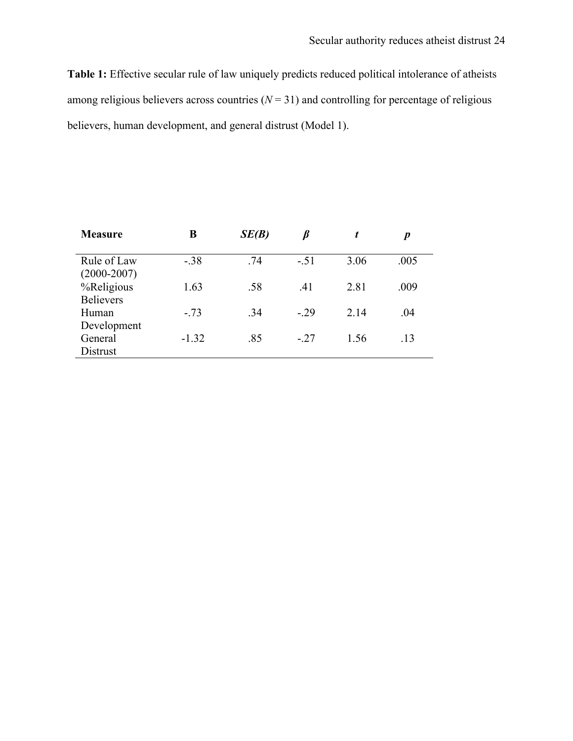**Table 1:** Effective secular rule of law uniquely predicts reduced political intolerance of atheists among religious believers across countries  $(N = 31)$  and controlling for percentage of religious believers, human development, and general distrust (Model 1).

| <b>Measure</b>                 | B       | SE(B) | ß      | t    | p    |
|--------------------------------|---------|-------|--------|------|------|
|                                |         |       |        |      |      |
| Rule of Law<br>$(2000 - 2007)$ | $-38$   | .74   | $-.51$ | 3.06 | .005 |
| %Religious                     | 1.63    | .58   | .41    | 2.81 | .009 |
| <b>Believers</b>               |         |       |        |      |      |
| Human                          | $-.73$  | .34   | $-.29$ | 2.14 | .04  |
| Development                    |         |       |        |      |      |
| General<br>Distrust            | $-1.32$ | .85   | $-.27$ | 1.56 | .13  |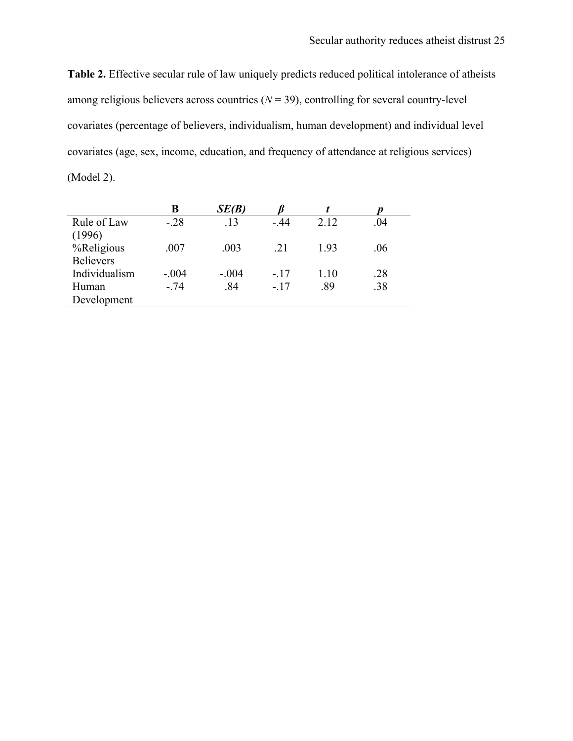**Table 2.** Effective secular rule of law uniquely predicts reduced political intolerance of atheists among religious believers across countries  $(N = 39)$ , controlling for several country-level covariates (percentage of believers, individualism, human development) and individual level covariates (age, sex, income, education, and frequency of attendance at religious services) (Model 2).

|                  | B       | SE(B)   |        |      |     |
|------------------|---------|---------|--------|------|-----|
| Rule of Law      | $-.28$  | .13     | $-44$  | 2.12 | .04 |
| (1996)           |         |         |        |      |     |
| %Religious       | .007    | .003    | 21     | 193  | .06 |
| <b>Believers</b> |         |         |        |      |     |
| Individualism    | $-.004$ | $-.004$ | $-.17$ | 1.10 | .28 |
| Human            | $-.74$  | .84     | $-.17$ | .89  | .38 |
| Development      |         |         |        |      |     |
|                  |         |         |        |      |     |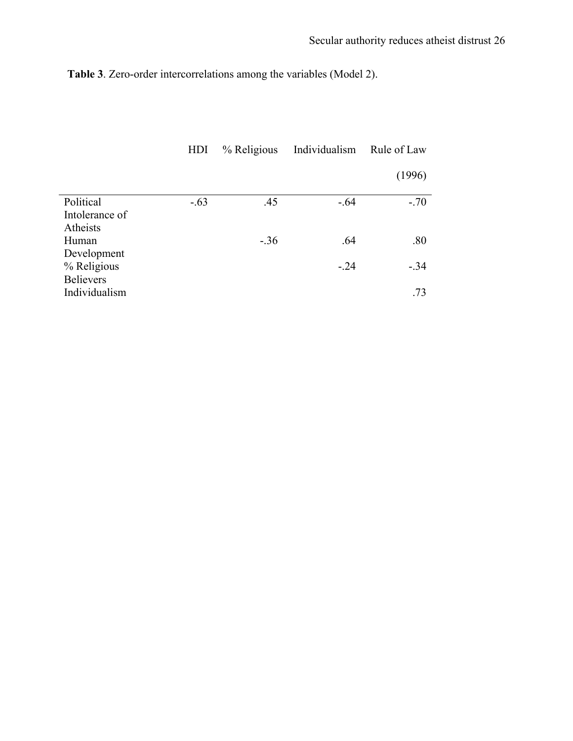**Table 3**. Zero-order intercorrelations among the variables (Model 2).

|                                         | HDI    | % Religious | Individualism | Rule of Law |
|-----------------------------------------|--------|-------------|---------------|-------------|
|                                         |        |             |               | (1996)      |
| Political<br>Intolerance of<br>Atheists | $-.63$ | .45         | $-.64$        | $-.70$      |
| Human<br>Development                    |        | $-.36$      | .64           | .80         |
| % Religious<br><b>Believers</b>         |        |             | $-24$         | $-.34$      |
| Individualism                           |        |             |               | .73         |